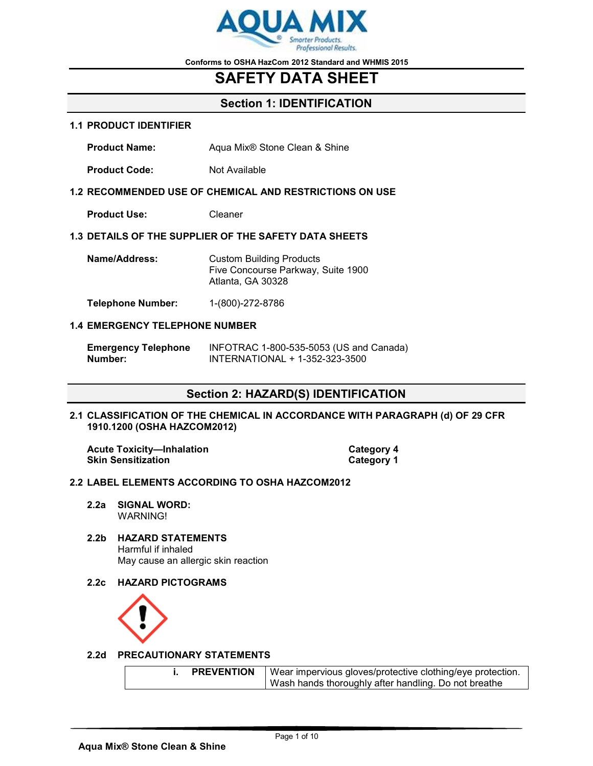

# **SAFETY DATA SHEET**

## **Section 1: IDENTIFICATION**

#### **1.1 PRODUCT IDENTIFIER**

**Product Name:** Aqua Mix® Stone Clean & Shine

**Product Code:** Not Available

#### **1.2 RECOMMENDED USE OF CHEMICAL AND RESTRICTIONS ON USE**

**Product Use:** Cleaner

### **1.3 DETAILS OF THE SUPPLIER OF THE SAFETY DATA SHEETS**

| Name/Address: | <b>Custom Building Products</b>    |
|---------------|------------------------------------|
|               | Five Concourse Parkway, Suite 1900 |
|               | Atlanta, GA 30328                  |
|               |                                    |

**Telephone Number:** 1-(800)-272-8786

#### **1.4 EMERGENCY TELEPHONE NUMBER**

| <b>Emergency Telephone</b> | INFOTRAC 1-800-535-5053 (US and Canada) |
|----------------------------|-----------------------------------------|
| Number:                    | INTERNATIONAL + 1-352-323-3500          |

## **Section 2: HAZARD(S) IDENTIFICATION**

**2.1 CLASSIFICATION OF THE CHEMICAL IN ACCORDANCE WITH PARAGRAPH (d) OF 29 CFR 1910.1200 (OSHA HAZCOM2012)**

Acute Toxicity-Inhalation **Category 4 Skin Sensitization Category 1** 

#### **2.2 LABEL ELEMENTS ACCORDING TO OSHA HAZCOM2012**

- **2.2a SIGNAL WORD:** WARNING!
- **2.2b HAZARD STATEMENTS** Harmful if inhaled May cause an allergic skin reaction
- **2.2c HAZARD PICTOGRAMS**



#### **2.2d PRECAUTIONARY STATEMENTS**

|  | <b>PREVENTION</b> | Wear impervious gloves/protective clothing/eye protection.<br>  Wash hands thoroughly after handling. Do not breathe |
|--|-------------------|----------------------------------------------------------------------------------------------------------------------|
|--|-------------------|----------------------------------------------------------------------------------------------------------------------|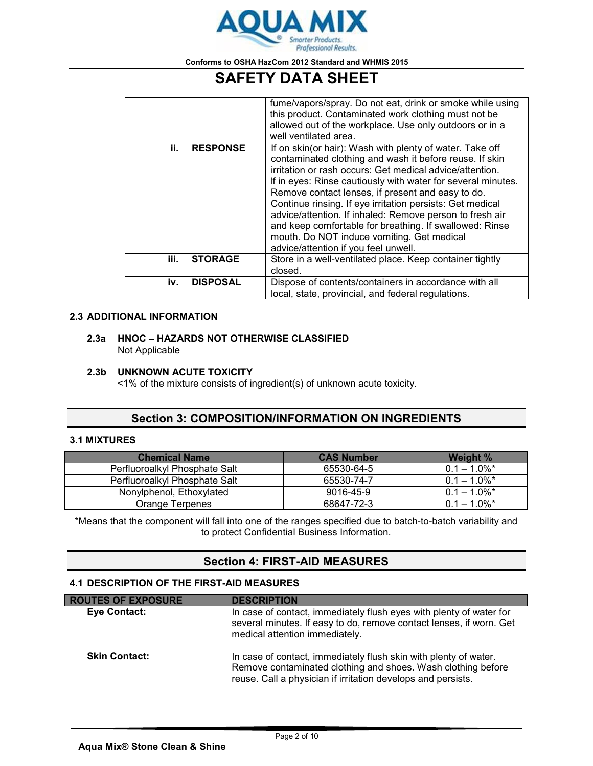

# **SAFETY DATA SHEET**

|      |                 | fume/vapors/spray. Do not eat, drink or smoke while using<br>this product. Contaminated work clothing must not be<br>allowed out of the workplace. Use only outdoors or in a<br>well ventilated area.                                                                                                                                                                                                                                                                                                                                                                          |
|------|-----------------|--------------------------------------------------------------------------------------------------------------------------------------------------------------------------------------------------------------------------------------------------------------------------------------------------------------------------------------------------------------------------------------------------------------------------------------------------------------------------------------------------------------------------------------------------------------------------------|
| ii.  | <b>RESPONSE</b> | If on skin(or hair): Wash with plenty of water. Take off<br>contaminated clothing and wash it before reuse. If skin<br>irritation or rash occurs: Get medical advice/attention.<br>If in eyes: Rinse cautiously with water for several minutes.<br>Remove contact lenses, if present and easy to do.<br>Continue rinsing. If eye irritation persists: Get medical<br>advice/attention. If inhaled: Remove person to fresh air<br>and keep comfortable for breathing. If swallowed: Rinse<br>mouth. Do NOT induce vomiting. Get medical<br>advice/attention if you feel unwell. |
| iii. | <b>STORAGE</b>  | Store in a well-ventilated place. Keep container tightly<br>closed.                                                                                                                                                                                                                                                                                                                                                                                                                                                                                                            |
| iv.  | <b>DISPOSAL</b> | Dispose of contents/containers in accordance with all<br>local, state, provincial, and federal regulations.                                                                                                                                                                                                                                                                                                                                                                                                                                                                    |

## **2.3 ADDITIONAL INFORMATION**

#### **2.3a HNOC – HAZARDS NOT OTHERWISE CLASSIFIED** Not Applicable

### **2.3b UNKNOWN ACUTE TOXICITY**

<1% of the mixture consists of ingredient(s) of unknown acute toxicity.

## **Section 3: COMPOSITION/INFORMATION ON INGREDIENTS**

### **3.1 MIXTURES**

| <b>Chemical Name</b>          | <b>CAS Number</b> | Weight %                   |
|-------------------------------|-------------------|----------------------------|
| Perfluoroalkyl Phosphate Salt | 65530-64-5        | $0.1 - 1.0\%$ <sup>*</sup> |
| Perfluoroalkyl Phosphate Salt | 65530-74-7        | $0.1 - 1.0\%$ <sup>*</sup> |
| Nonylphenol, Ethoxylated      | 9016-45-9         | $0.1 - 1.0\%$ <sup>*</sup> |
| Orange Terpenes               | 68647-72-3        | $0.1 - 1.0\%$ <sup>*</sup> |

\*Means that the component will fall into one of the ranges specified due to batch-to-batch variability and to protect Confidential Business Information.

## **Section 4: FIRST-AID MEASURES**

## **4.1 DESCRIPTION OF THE FIRST-AID MEASURES**

| <b>ROUTES OF EXPOSURE</b> | <b>DESCRIPTION</b>                                                                                                                                                                               |
|---------------------------|--------------------------------------------------------------------------------------------------------------------------------------------------------------------------------------------------|
| <b>Eye Contact:</b>       | In case of contact, immediately flush eyes with plenty of water for<br>several minutes. If easy to do, remove contact lenses, if worn. Get<br>medical attention immediately.                     |
| <b>Skin Contact:</b>      | In case of contact, immediately flush skin with plenty of water.<br>Remove contaminated clothing and shoes. Wash clothing before<br>reuse. Call a physician if irritation develops and persists. |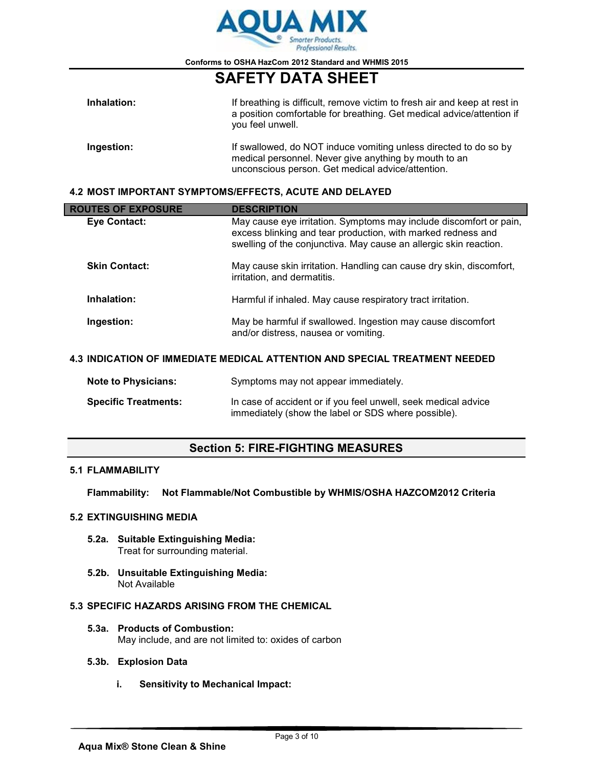

# **SAFETY DATA SHEET**

| Inhalation: | If breathing is difficult, remove victim to fresh air and keep at rest in<br>a position comfortable for breathing. Get medical advice/attention if<br>you feel unwell.         |
|-------------|--------------------------------------------------------------------------------------------------------------------------------------------------------------------------------|
| Ingestion:  | If swallowed, do NOT induce vomiting unless directed to do so by<br>medical personnel. Never give anything by mouth to an<br>unconscious person. Get medical advice/attention. |

### **4.2 MOST IMPORTANT SYMPTOMS/EFFECTS, ACUTE AND DELAYED**

| <b>ROUTES OF EXPOSURE</b>                                                  | <b>DESCRIPTION</b>                                                                                                                                                                                      |  |
|----------------------------------------------------------------------------|---------------------------------------------------------------------------------------------------------------------------------------------------------------------------------------------------------|--|
| Eye Contact:                                                               | May cause eye irritation. Symptoms may include discomfort or pain,<br>excess blinking and tear production, with marked redness and<br>swelling of the conjunctiva. May cause an allergic skin reaction. |  |
| <b>Skin Contact:</b>                                                       | May cause skin irritation. Handling can cause dry skin, discomfort,<br>irritation, and dermatitis.                                                                                                      |  |
| Inhalation:                                                                | Harmful if inhaled. May cause respiratory tract irritation.                                                                                                                                             |  |
| Ingestion:                                                                 | May be harmful if swallowed. Ingestion may cause discomfort<br>and/or distress, nausea or vomiting.                                                                                                     |  |
| 4.3 INDICATION OF IMMEDIATE MEDICAL ATTENTION AND SPECIAL TREATMENT NEEDED |                                                                                                                                                                                                         |  |
| <b>Note to Physicians:</b>                                                 | Symptoms may not appear immediately.                                                                                                                                                                    |  |

| <b>Specific Treatments:</b> | In case of accident or if you feel unwell, seek medical advice |
|-----------------------------|----------------------------------------------------------------|
|                             | immediately (show the label or SDS where possible).            |

## **Section 5: FIRE-FIGHTING MEASURES**

## **5.1 FLAMMABILITY**

**Flammability: Not Flammable/Not Combustible by WHMIS/OSHA HAZCOM2012 Criteria**

### **5.2 EXTINGUISHING MEDIA**

- **5.2a. Suitable Extinguishing Media:** Treat for surrounding material.
- **5.2b. Unsuitable Extinguishing Media:** Not Available

## **5.3 SPECIFIC HAZARDS ARISING FROM THE CHEMICAL**

**5.3a. Products of Combustion:** May include, and are not limited to: oxides of carbon

## **5.3b. Explosion Data**

**i. Sensitivity to Mechanical Impact:**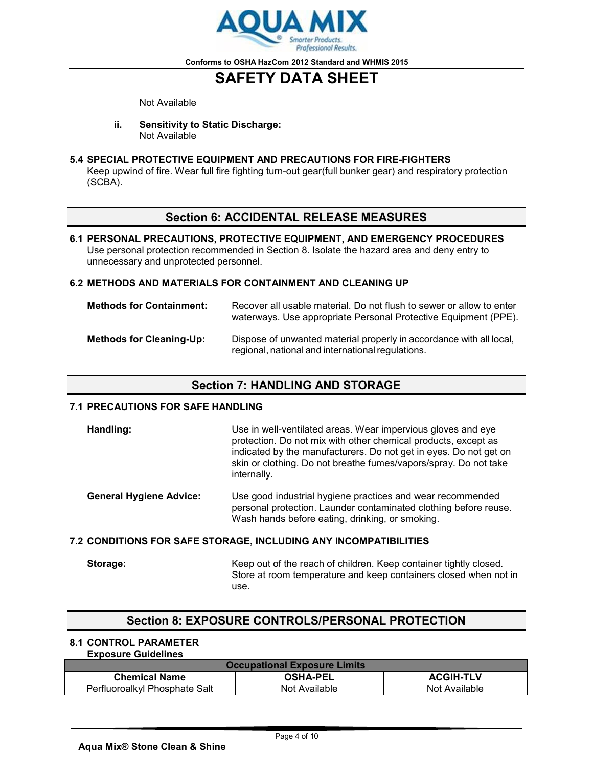

# **SAFETY DATA SHEET**

Not Available

**ii. Sensitivity to Static Discharge:** Not Available

### **5.4 SPECIAL PROTECTIVE EQUIPMENT AND PRECAUTIONS FOR FIRE-FIGHTERS**

Keep upwind of fire. Wear full fire fighting turn-out gear(full bunker gear) and respiratory protection (SCBA).

## **Section 6: ACCIDENTAL RELEASE MEASURES**

**6.1 PERSONAL PRECAUTIONS, PROTECTIVE EQUIPMENT, AND EMERGENCY PROCEDURES** Use personal protection recommended in Section 8. Isolate the hazard area and deny entry to unnecessary and unprotected personnel.

#### **6.2 METHODS AND MATERIALS FOR CONTAINMENT AND CLEANING UP**

| <b>Methods for Containment:</b> | Recover all usable material. Do not flush to sewer or allow to enter<br>waterways. Use appropriate Personal Protective Equipment (PPE). |
|---------------------------------|-----------------------------------------------------------------------------------------------------------------------------------------|
| <b>Methods for Cleaning-Up:</b> | Dispose of unwanted material properly in accordance with all local,<br>regional, national and international regulations.                |

## **Section 7: HANDLING AND STORAGE**

#### **7.1 PRECAUTIONS FOR SAFE HANDLING**

| Handling: | Use in well-ventilated areas. Wear impervious gloves and eye<br>protection. Do not mix with other chemical products, except as<br>indicated by the manufacturers. Do not get in eyes. Do not get on<br>skin or clothing. Do not breathe fumes/vapors/spray. Do not take<br>internally. |
|-----------|----------------------------------------------------------------------------------------------------------------------------------------------------------------------------------------------------------------------------------------------------------------------------------------|
|           |                                                                                                                                                                                                                                                                                        |

**General Hygiene Advice:** Use good industrial hygiene practices and wear recommended personal protection. Launder contaminated clothing before reuse. Wash hands before eating, drinking, or smoking.

#### **7.2 CONDITIONS FOR SAFE STORAGE, INCLUDING ANY INCOMPATIBILITIES**

**Storage:** Keep out of the reach of children. Keep container tightly closed. Store at room temperature and keep containers closed when not in use.

## **Section 8: EXPOSURE CONTROLS/PERSONAL PROTECTION**

## **8.1 CONTROL PARAMETER**

#### **Exposure Guidelines**

| <b>Occupational Exposure Limits</b> |                 |                  |  |
|-------------------------------------|-----------------|------------------|--|
| <b>Chemical Name</b>                | <b>OSHA-PEL</b> | <b>ACGIH-TLV</b> |  |
| Perfluoroalkyl Phosphate Salt       | Not Available   | Not Available    |  |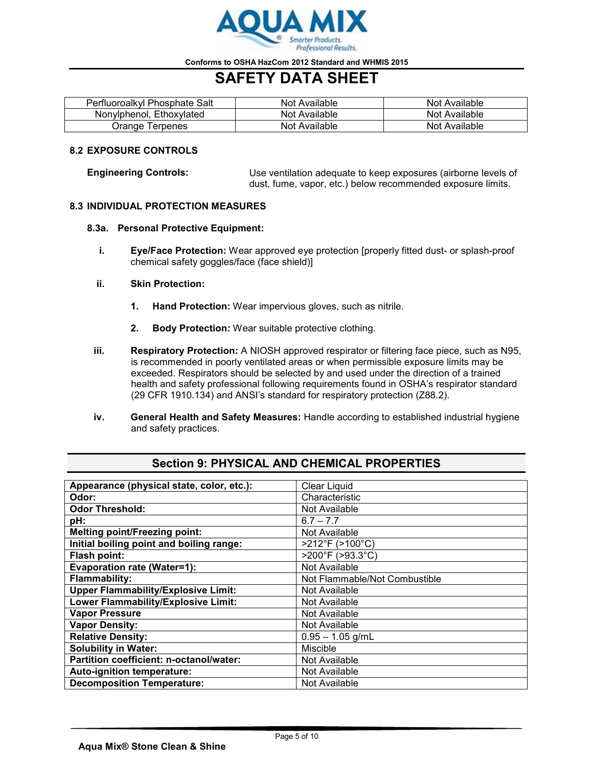

# **SAFETY DATA SHEET**

| Perfluoroalkyl Phosphate Salt | Not Available | Not Available |
|-------------------------------|---------------|---------------|
| Nonylphenol, Ethoxylated      | Not Available | Not Available |
| Orange Terpenes               | Not Available | Not Available |

#### **8.2 EXPOSURE CONTROLS**

**Engineering Controls:** Use ventilation adequate to keep exposures (airborne levels of dust, fume, vapor, etc.) below recommended exposure limits.

#### **8.3 INDIVIDUAL PROTECTION MEASURES**

#### **8.3a. Personal Protective Equipment:**

**i. Eye/Face Protection:** Wear approved eye protection [properly fitted dust- or splash-proof chemical safety goggles/face (face shield)]

#### **ii. Skin Protection:**

- **1. Hand Protection:** Wear impervious gloves, such as nitrile.
- **2. Body Protection:** Wear suitable protective clothing.
- **iii. Respiratory Protection:** A NIOSH approved respirator or filtering face piece, such as N95, is recommended in poorly ventilated areas or when permissible exposure limits may be exceeded. Respirators should be selected by and used under the direction of a trained health and safety professional following requirements found in OSHA's respirator standard (29 CFR 1910.134) and ANSI's standard for respiratory protection (Z88.2).
- **iv. General Health and Safety Measures:** Handle according to established industrial hygiene and safety practices.

| Appearance (physical state, color, etc.):  | <b>Clear Liquid</b>           |
|--------------------------------------------|-------------------------------|
| Odor:                                      | Characteristic                |
| <b>Odor Threshold:</b>                     | Not Available                 |
| pH:                                        | $6.7 - 7.7$                   |
| <b>Melting point/Freezing point:</b>       | Not Available                 |
| Initial boiling point and boiling range:   | >212°F (>100°C)               |
| Flash point:                               | >200°F (>93.3°C)              |
| <b>Evaporation rate (Water=1):</b>         | Not Available                 |
| <b>Flammability:</b>                       | Not Flammable/Not Combustible |
| <b>Upper Flammability/Explosive Limit:</b> | Not Available                 |
| Lower Flammability/Explosive Limit:        | Not Available                 |
| <b>Vapor Pressure</b>                      | Not Available                 |
| <b>Vapor Density:</b>                      | Not Available                 |
| <b>Relative Density:</b>                   | $0.95 - 1.05$ g/mL            |
| <b>Solubility in Water:</b>                | Miscible                      |
| Partition coefficient: n-octanol/water:    | Not Available                 |
| Auto-ignition temperature:                 | Not Available                 |
| <b>Decomposition Temperature:</b>          | Not Available                 |

## **Section 9: PHYSICAL AND CHEMICAL PROPERTIES**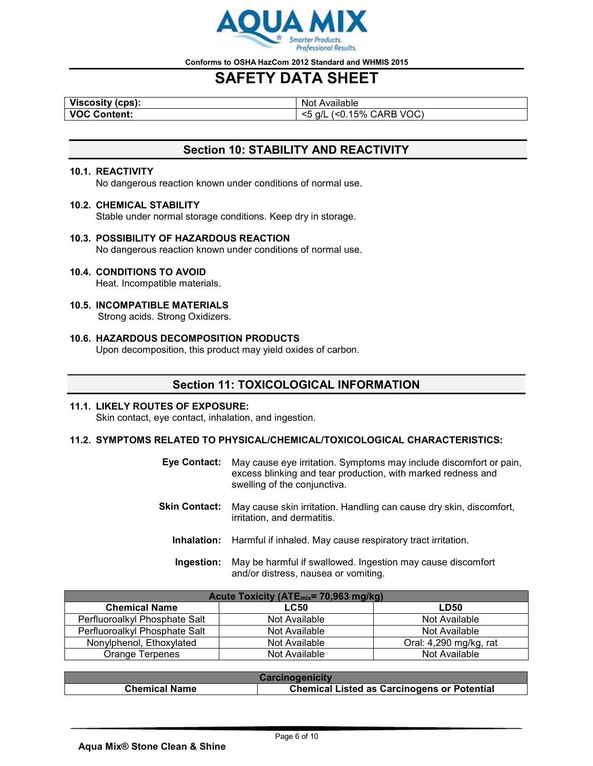

# **SAFETY DATA SHEET**

**Viscosity (cps):**<br>
VOC Content: 
VOC Content: 
VOC Content: 
VOC Content 
VOC Content 
VOC Content 
VOC Content 
VOC CO.15

**VOC Content:** <5 g/L (<0.15% CARB VOC)

# **Section 10: STABILITY AND REACTIVITY**

#### **10.1. REACTIVITY**

No dangerous reaction known under conditions of normal use.

#### **10.2. CHEMICAL STABILITY**

Stable under normal storage conditions. Keep dry in storage.

### **10.3. POSSIBILITY OF HAZARDOUS REACTION**

No dangerous reaction known under conditions of normal use.

#### **10.4. CONDITIONS TO AVOID**

Heat. Incompatible materials.

**10.5. INCOMPATIBLE MATERIALS** Strong acids. Strong Oxidizers.

## **10.6. HAZARDOUS DECOMPOSITION PRODUCTS**

Upon decomposition, this product may yield oxides of carbon.

## **Section 11: TOXICOLOGICAL INFORMATION**

#### **11.1. LIKELY ROUTES OF EXPOSURE:** Skin contact, eye contact, inhalation, and ingestion.

#### **11.2. SYMPTOMS RELATED TO PHYSICAL/CHEMICAL/TOXICOLOGICAL CHARACTERISTICS:**

| <b>Eve Contact:</b> | May cause eye irritation. Symptoms may include discomfort or pain,<br>excess blinking and tear production, with marked redness and<br>swelling of the conjunctiva. |
|---------------------|--------------------------------------------------------------------------------------------------------------------------------------------------------------------|
| Skin Contact:       | May cause skin irritation. Handling can cause dry skin, discomfort,                                                                                                |

- irritation, and dermatitis.
- **Inhalation:** Harmful if inhaled. May cause respiratory tract irritation.
- **Ingestion:** May be harmful if swallowed. Ingestion may cause discomfort and/or distress, nausea or vomiting.

| Acute Toxicity (ATE <sub>mix</sub> = 70,963 mg/kg) |               |                        |  |
|----------------------------------------------------|---------------|------------------------|--|
| <b>Chemical Name</b>                               | <b>LC50</b>   | <b>LD50</b>            |  |
| Perfluoroalkyl Phosphate Salt                      | Not Available | Not Available          |  |
| Perfluoroalkyl Phosphate Salt                      | Not Available | Not Available          |  |
| Nonylphenol, Ethoxylated                           | Not Available | Oral: 4,290 mg/kg, rat |  |
| Orange Terpenes                                    | Not Available | Not Available          |  |

| <b>Carcinogenicity</b> |                                                    |
|------------------------|----------------------------------------------------|
| <b>Chemical Name</b>   | <b>Chemical Listed as Carcinogens or Potential</b> |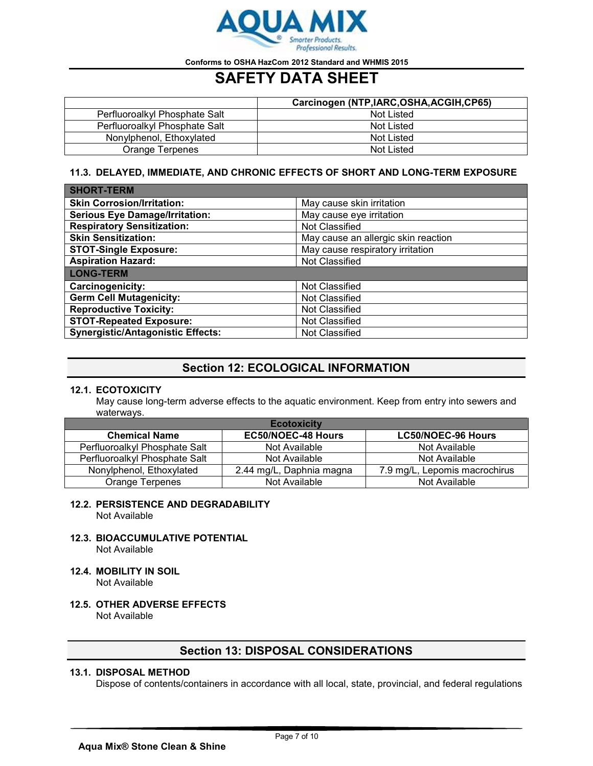

# **SAFETY DATA SHEET**

|                               | Carcinogen (NTP, IARC, OSHA, ACGIH, CP65) |
|-------------------------------|-------------------------------------------|
| Perfluoroalkyl Phosphate Salt | Not Listed                                |
| Perfluoroalkyl Phosphate Salt | Not Listed                                |
| Nonylphenol, Ethoxylated      | Not Listed                                |
| Orange Terpenes               | Not Listed                                |

## **11.3. DELAYED, IMMEDIATE, AND CHRONIC EFFECTS OF SHORT AND LONG-TERM EXPOSURE**

| <b>SHORT-TERM</b>                        |                                     |
|------------------------------------------|-------------------------------------|
| <b>Skin Corrosion/Irritation:</b>        | May cause skin irritation           |
| <b>Serious Eye Damage/Irritation:</b>    | May cause eye irritation            |
| <b>Respiratory Sensitization:</b>        | Not Classified                      |
| <b>Skin Sensitization:</b>               | May cause an allergic skin reaction |
| <b>STOT-Single Exposure:</b>             | May cause respiratory irritation    |
| <b>Aspiration Hazard:</b>                | Not Classified                      |
| <b>LONG-TERM</b>                         |                                     |
| Carcinogenicity:                         | Not Classified                      |
| <b>Germ Cell Mutagenicity:</b>           | Not Classified                      |
| <b>Reproductive Toxicity:</b>            | Not Classified                      |
| <b>STOT-Repeated Exposure:</b>           | Not Classified                      |
| <b>Synergistic/Antagonistic Effects:</b> | Not Classified                      |

## **Section 12: ECOLOGICAL INFORMATION**

### **12.1. ECOTOXICITY**

May cause long-term adverse effects to the aquatic environment. Keep from entry into sewers and waterways.

| <b>Ecotoxicity</b>            |                           |                               |  |  |
|-------------------------------|---------------------------|-------------------------------|--|--|
| <b>Chemical Name</b>          | <b>EC50/NOEC-48 Hours</b> | <b>LC50/NOEC-96 Hours</b>     |  |  |
| Perfluoroalkyl Phosphate Salt | Not Available             | Not Available                 |  |  |
| Perfluoroalkyl Phosphate Salt | Not Available             | Not Available                 |  |  |
| Nonylphenol, Ethoxylated      | 2.44 mg/L, Daphnia magna  | 7.9 mg/L, Lepomis macrochirus |  |  |
| Orange Terpenes               | Not Available             | Not Available                 |  |  |

#### **12.2. PERSISTENCE AND DEGRADABILITY** Not Available

- **12.3. BIOACCUMULATIVE POTENTIAL** Not Available
- **12.4. MOBILITY IN SOIL** Not Available
- **12.5. OTHER ADVERSE EFFECTS** Not Available

## **Section 13: DISPOSAL CONSIDERATIONS**

## **13.1. DISPOSAL METHOD**

Dispose of contents/containers in accordance with all local, state, provincial, and federal regulations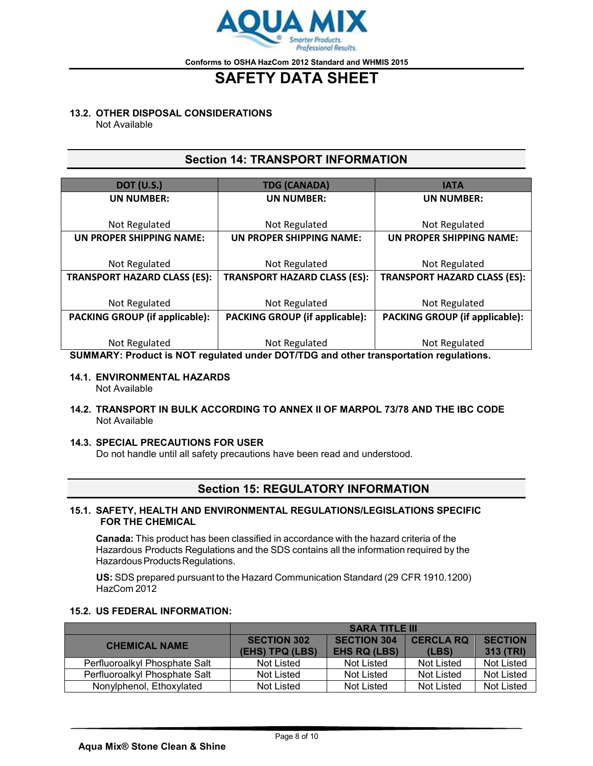

# **SAFETY DATA SHEET**

#### **13.2. OTHER DISPOSAL CONSIDERATIONS**

Not Available

## **Section 14: TRANSPORT INFORMATION**

| <b>DOT (U.S.)</b>                     | <b>TDG (CANADA)</b>                   | <b>IATA</b>                           |
|---------------------------------------|---------------------------------------|---------------------------------------|
| <b>UN NUMBER:</b>                     | <b>UN NUMBER:</b>                     | <b>UN NUMBER:</b>                     |
|                                       |                                       |                                       |
| Not Regulated                         | Not Regulated                         | Not Regulated                         |
| UN PROPER SHIPPING NAME:              | UN PROPER SHIPPING NAME:              | UN PROPER SHIPPING NAME:              |
|                                       |                                       |                                       |
| Not Regulated                         | Not Regulated                         | Not Regulated                         |
| <b>TRANSPORT HAZARD CLASS (ES):</b>   | <b>TRANSPORT HAZARD CLASS (ES):</b>   | <b>TRANSPORT HAZARD CLASS (ES):</b>   |
|                                       |                                       |                                       |
| Not Regulated                         | Not Regulated                         | Not Regulated                         |
| <b>PACKING GROUP (if applicable):</b> | <b>PACKING GROUP (if applicable):</b> | <b>PACKING GROUP (if applicable):</b> |
|                                       |                                       |                                       |
| Not Regulated                         | Not Regulated                         | Not Regulated                         |

**SUMMARY: Product is NOT regulated under DOT/TDG and other transportation regulations.**

#### **14.1. ENVIRONMENTAL HAZARDS** Not Available

**14.2. TRANSPORT IN BULK ACCORDING TO ANNEX II OF MARPOL 73/78 AND THE IBC CODE** Not Available

#### **14.3. SPECIAL PRECAUTIONS FOR USER**

Do not handle until all safety precautions have been read and understood.

## **Section 15: REGULATORY INFORMATION**

#### **15.1. SAFETY, HEALTH AND ENVIRONMENTAL REGULATIONS/LEGISLATIONS SPECIFIC FOR THE CHEMICAL**

**Canada:** This product has been classified in accordance with the hazard criteria of the Hazardous Products Regulations and the SDS contains all the information required by the Hazardous Products Regulations.

**US:** SDS prepared pursuant to the Hazard Communication Standard (29 CFR 1910.1200) HazCom 2012

#### **15.2. US FEDERAL INFORMATION:**

|                               | <b>SARA TITLE III</b>                 |                                           |                           |                             |
|-------------------------------|---------------------------------------|-------------------------------------------|---------------------------|-----------------------------|
| <b>CHEMICAL NAME</b>          | <b>SECTION 302</b><br>(EHS) TPQ (LBS) | <b>SECTION 304</b><br><b>EHS RQ (LBS)</b> | <b>CERCLA RQ</b><br>(LES) | <b>SECTION</b><br>313 (TRI) |
| Perfluoroalkyl Phosphate Salt | Not Listed                            | Not Listed                                | Not Listed                | Not Listed                  |
| Perfluoroalkyl Phosphate Salt | Not Listed                            | Not Listed                                | Not Listed                | Not Listed                  |
| Nonylphenol, Ethoxylated      | Not Listed                            | Not Listed                                | Not Listed                | Not Listed                  |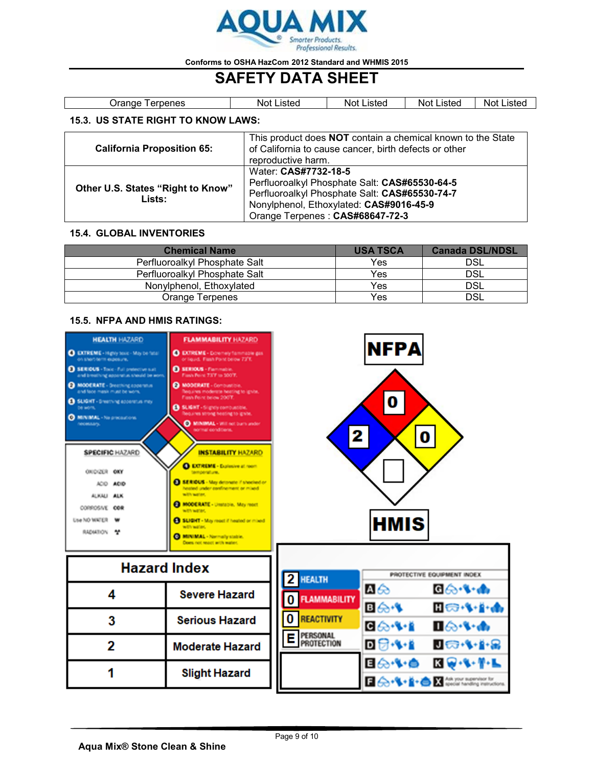

# **SAFETY DATA SHEET**

| Jrange '<br><b>lerpenes</b>               | Not Listed | Not Listed | <b>Not Listed</b> | <b>Not Listed</b> |
|-------------------------------------------|------------|------------|-------------------|-------------------|
| <b>15.3. US STATE RIGHT TO KNOW LAWS:</b> |            |            |                   |                   |

| <b>California Proposition 65:</b>           | This product does <b>NOT</b> contain a chemical known to the State<br>of California to cause cancer, birth defects or other<br>reproductive harm.                                                    |
|---------------------------------------------|------------------------------------------------------------------------------------------------------------------------------------------------------------------------------------------------------|
| Other U.S. States "Right to Know"<br>Lists: | Water: CAS#7732-18-5<br>Perfluoroalkyl Phosphate Salt: CAS#65530-64-5<br>Perfluoroalkyl Phosphate Salt: CAS#65530-74-7<br>Nonylphenol, Ethoxylated: CAS#9016-45-9<br>Orange Terpenes: CAS#68647-72-3 |

### **15.4. GLOBAL INVENTORIES**

| <b>Chemical Name</b>          | <b>USA TSCA</b> | <b>Canada DSL/NDSL</b> |
|-------------------------------|-----------------|------------------------|
| Perfluoroalkyl Phosphate Salt | <b>Yes</b>      | <b>DSL</b>             |
| Perfluoroalkyl Phosphate Salt | Yes             | <b>DSL</b>             |
| Nonylphenol, Ethoxylated      | Yes             | <b>DSL</b>             |
| Orange Terpenes               | Yes             | DSL                    |

## **15.5. NFPA AND HMIS RATINGS:**